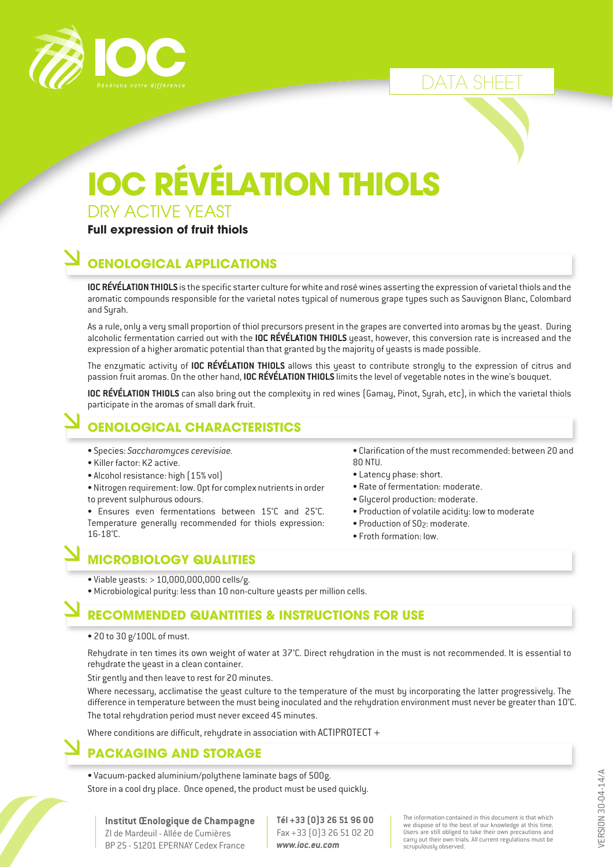

## DATA SHEET

# **IOC RÉVÉLATION THIOLS**

DRY ACTIVE YEAST

#### **Full expression of fruit thiols**

### **OENOLOGICAL APPLICATIONS**

**IOC RÉVÉLATION THIOLS** is the specific starter culture for white and rosé wines asserting the expression of varietal thiols and the aromatic compounds responsible for the varietal notes typical of numerous grape types such as Sauvignon Blanc, Colombard and Syrah.

As a rule, only a very small proportion of thiol precursors present in the grapes are converted into aromas by the yeast. During alcoholic fermentation carried out with the **IOC RÉVÉLATION THIOLS** yeast, however, this conversion rate is increased and the expression of a higher aromatic potential than that granted by the majority of yeasts is made possible.

The enzymatic activity of **IOC RÉVÉLATION THIOLS** allows this yeast to contribute strongly to the expression of citrus and passion fruit aromas. On the other hand, **IOC RÉVÉLATION THIOLS** limits the level of vegetable notes in the wine's bouquet.

**IOC RÉVÉLATION THIOLS** can also bring out the complexity in red wines (Gamay, Pinot, Syrah, etc), in which the varietal thiols participate in the aromas of small dark fruit.

## **OENOLOGICAL CHARACTERISTICS**

- Species: *Saccharomyces cerevisiae.*
- Killer factor: K2 active.
- Alcohol resistance: high (15% vol)
- Nitrogen requirement: low. Opt for complex nutrients in order to prevent sulphurous odours.

• Ensures even fermentations between 15°C and 25°C. Temperature generally recommended for thiols expression: 16-18°C.

- Clarification of the must recommended: between 20 and 80 NTU.
- Latency phase: short.
- Rate of fermentation: moderate.
- Glycerol production: moderate.
- Production of volatile acidity: low to moderate
- Production of SO2: moderate.
- Froth formation: low.

#### **MICROBIOLOGY QUALITIES**

• Viable yeasts: > 10,000,000,000 cells/g.

• Microbiological purity: less than 10 non-culture yeasts per million cells.

#### **RECOMMENDED QUANTITIES & INSTRUCTIONS FOR USE**

• 20 to 30 g/100L of must.

Rehydrate in ten times its own weight of water at 37°C. Direct rehydration in the must is not recommended. It is essential to rehydrate the yeast in a clean container.

Stir gently and then leave to rest for 20 minutes.

Where necessary, acclimatise the yeast culture to the temperature of the must by incorporating the latter progressively. The difference in temperature between the must being inoculated and the rehydration environment must never be greater than 10°C. The total rehydration period must never exceed 45 minutes.

Where conditions are difficult, rehydrate in association with  $ACTIPROTECT +$ 

#### **PACKAGING AND STORAGE**

• Vacuum-packed aluminium/polythene laminate bags of 500g. Store in a cool dry place. Once opened, the product must be used quickly.

**Institut Œnologique de Champagne** ZI de Mardeuil - Allée de Cumières BP 25 - 51201 EPERNAY Cedex France

**Tél +33 (0)3 26 51 96 00** Fax +33 (0)3 26 51 02 20 *www.ioc.eu.com*

The information contained in this document is that which we dispose of to the best of our knowledge at this time. Users are still obliged to take their own precautions and carry out their own trials. All current regulations must be scrupulously observed.